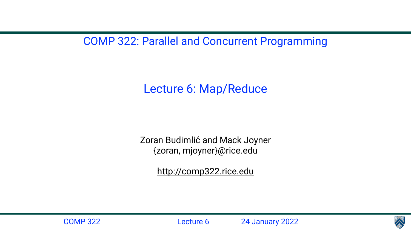## COMP 322: Parallel and Concurrent Programming



Lecture 6: Map/Reduce

- Zoran Budimlić and Mack Joyner {zoran, mjoyner}@rice.edu
	- <http://comp322.rice.edu>

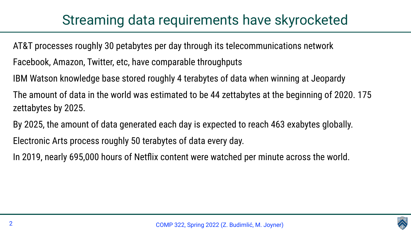# Streaming data requirements have skyrocketed

AT&T processes roughly 30 petabytes per day through its telecommunications network Facebook, Amazon, Twitter, etc, have comparable throughputs IBM Watson knowledge base stored roughly 4 terabytes of data when winning at Jeopardy The amount of data in the world was estimated to be 44 zettabytes at the beginning of 2020. 175 zettabytes by 2025. By 2025, the amount of data generated each day is expected to reach 463 exabytes globally. Electronic Arts process roughly 50 terabytes of data every day. In 2019, nearly 695,000 hours of Netflix content were watched per minute across the world.

- 
- 
- 
- 
- 
- 
- 

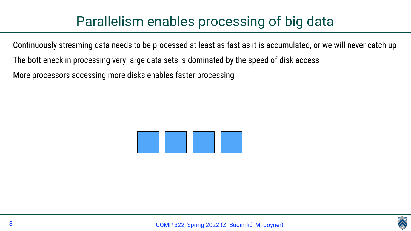



# Parallelism enables processing of big data

- Continuously streaming data needs to be processed at least as fast as it is accumulated, or we will never catch up
	-
	-

The bottleneck in processing very large data sets is dominated by the speed of disk access More processors accessing more disks enables faster processing

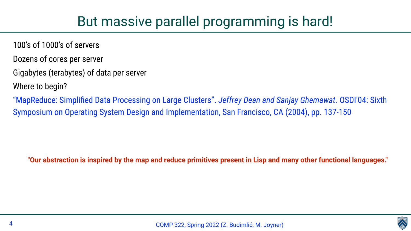



- 100's of 1000's of servers
- Dozens of cores per server
- Gigabytes (terabytes) of data per server
- Where to begin?

"MapReduce: Simplified Data Processing on Large Clusters". *Jeffrey Dean and Sanjay Ghemawat*. OSDI'04: Sixth Symposium on Operating System Design and Implementation, San Francisco, CA (2004), pp. 137-150

**"Our abstraction is inspired by the map and reduce primitives present in Lisp and many other functional languages."**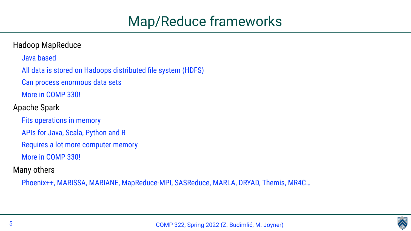

# Map/Reduce frameworks

## Hadoop MapReduce

Java based

All data is stored on Hadoops distributed file system (HDFS)

Can process enormous data sets

More in COMP 330!

Apache Spark

Fits operations in memory

APIs for Java, Scala, Python and R

Requires a lot more computer memory

More in COMP 330!

## Many others

Phoenix++, MARISSA, MARIANE, MapReduce-MPI, SASReduce, MARLA, DRYAD, Themis, MR4C…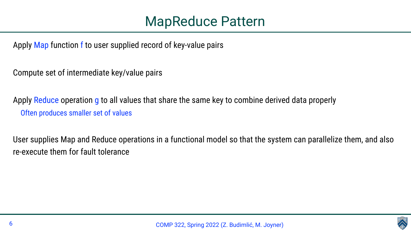



Apply Map function f to user supplied record of key-value pairs

Compute set of intermediate key/value pairs

Apply Reduce operation g to all values that share the same key to combine derived data properly Often produces smaller set of values

User supplies Map and Reduce operations in a functional model so that the system can parallelize them, and also re-execute them for fault tolerance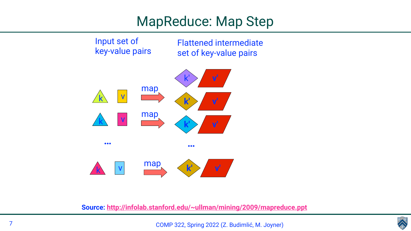# MapReduce: Map Step



Input set of key-value pairs



Flattened intermediate set of key-value pairs

**Source:<http://infolab.stanford.edu/~ullman/mining/2009/mapreduce.ppt>**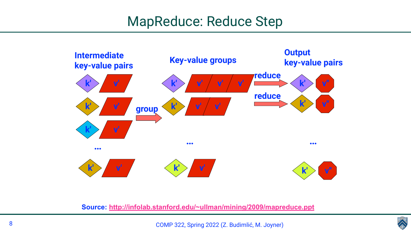

# MapReduce: Reduce Step



## **Source:<http://infolab.stanford.edu/~ullman/mining/2009/mapreduce.ppt>**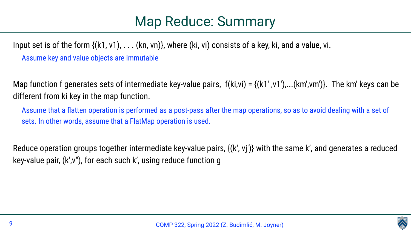Input set is of the form {(k1, v1), . . . (kn, vn)}, where (ki, vi) consists of a key, ki, and a value, vi. Assume key and value objects are immutable

different from ki key in the map function.

Assume that a flatten operation is performed as a post-pass after the map operations, so as to avoid dealing with a set of sets. In other words, assume that a FlatMap operation is used.

Reduce operation groups together intermediate key-value pairs, {(k′, vj′)} with the same k', and generates a reduced key-value pair, (k′,v′′), for each such k', using reduce function g

Map function f generates sets of intermediate key-value pairs,  $f(ki, vi) = \{(k1', v1'), \dots (km', vw')\}$ . The km' keys can be





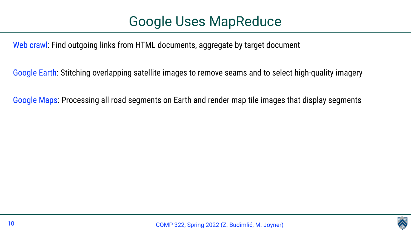Web crawl: Find outgoing links from HTML documents, aggregate by target document

Google Earth: Stitching overlapping satellite images to remove seams and to select high-quality imagery

Google Maps: Processing all road segments on Earth and render map tile images that display segments

- 
- 
- 

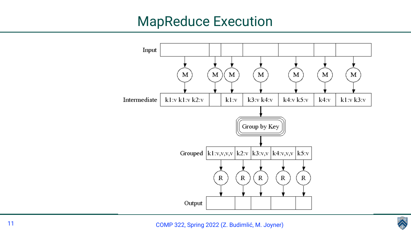

# MapReduce Execution

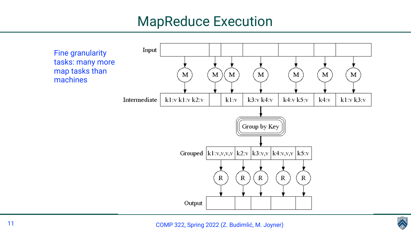

# MapReduce Execution

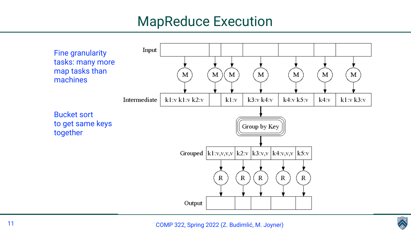

# MapReduce Execution



to get same keys together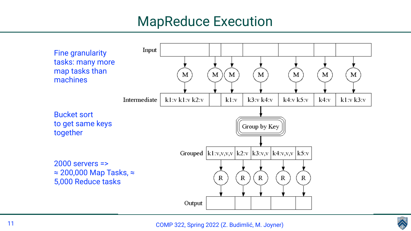

# MapReduce Execution

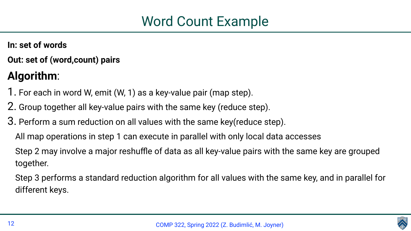

- **In: set of words**
- **Out: set of (word,count) pairs**

# **Algorithm**:

- 1. For each in word W, emit (W, 1) as a key-value pair (map step).
- 2. Group together all key-value pairs with the same key (reduce step).
- 3. Perform a sum reduction on all values with the same key(reduce step). All map operations in step 1 can execute in parallel with only local data accesses Step 2 may involve a major reshuffle of data as all key-value pairs with the same key are grouped together.
	- Step 3 performs a standard reduction algorithm for all values with the same key, and in parallel for different keys.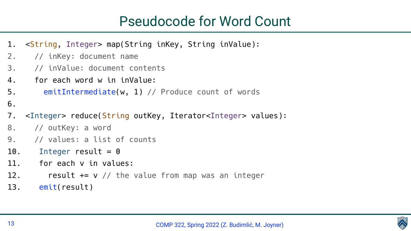

# Pseudocode for Word Count

|        | 1. < String, Integer> map (String inKey, St     |
|--------|-------------------------------------------------|
| 2.     | // inKey: document name                         |
| 3.     | // inValue: document contents                   |
| 4.     | for each word w in inValue:                     |
| 5.     | emitIntermediate(w, 1) // Produce               |
| 6.     |                                                 |
| 7.     | <integer> reduce(String outKey, Itera</integer> |
|        | 8. // outKey: a word                            |
|        | 9. // values: a list of counts                  |
| $10$ . | Integer result = $\theta$                       |
| 11.    | for each v in values:                           |
| 12.    | result $+= v$ // the value from ma              |
|        | 13. <b>emit(result)</b>                         |
|        |                                                 |

String inValue):

count of words

Itor<Integer> values):

Ip was an integer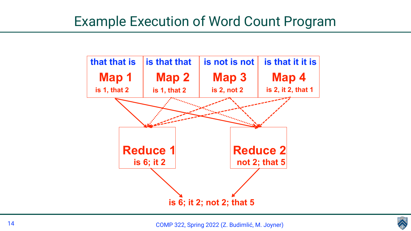

# Example Execution of Word Count Program

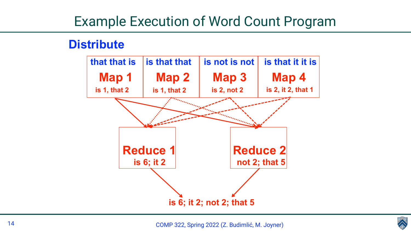

# Example Execution of Word Count Program

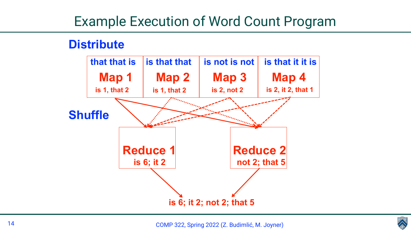

# Example Execution of Word Count Program

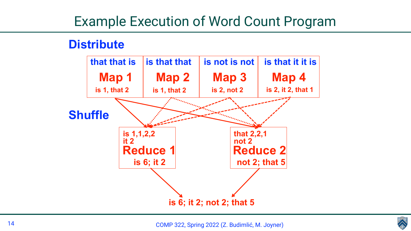

# Example Execution of Word Count Program

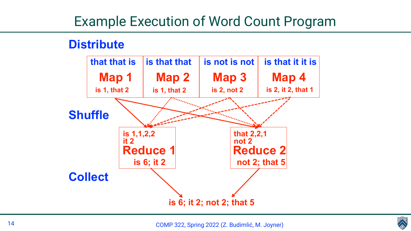

# Example Execution of Word Count Program

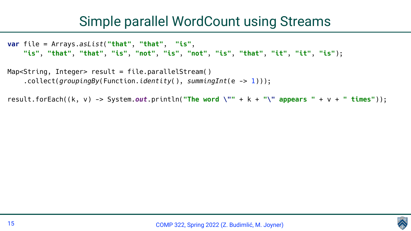# Simple parallel WordCount using Streams



**var** file = Arrays.*asList*(**"that"**, **"that"**, **"is"**, **"is"**, **"that"**, **"that"**, **"is"**, **"not"**, **"is"**, **"not"**, **"is"**, **"that"**, **"it"**, **"it"**, **"is"**);

Map<String, Integer> result = file.parallelStream() .collect(*groupingBy*(Function.*identity*(), *summingInt*(e -> 1)));

result.forEach((k, v) -> System.*out*.println(**"The word \""** + k + **"\" appears "** + v + **" times"**));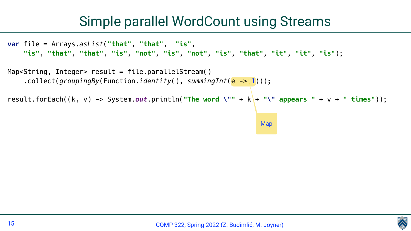

# Simple parallel WordCount using Streams

**var** file = Arrays.*asList*(**"that"**, **"that"**, **"is"**, **"is"**, **"that"**, **"that"**, **"is"**, **"not"**, **"is"**, **"not"**, **"is"**, **"that"**, **"it"**, **"it"**, **"is"**);

```
Map
result.forEach((k, v) -> System.out.println("The word \"" + k + "\" appears " + v + " times"));
```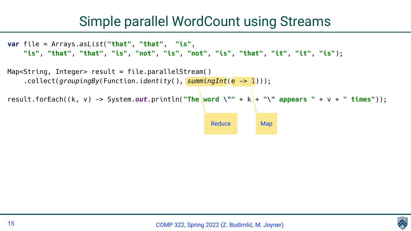

# Simple parallel WordCount using Streams

**var** file = Arrays.*asList*(**"that"**, **"that"**, **"is"**, **"is"**, **"that"**, **"that"**, **"is"**, **"not"**, **"is"**, **"not"**, **"is"**, **"that"**, **"it"**, **"it"**, **"is"**);

```
Reduce Map
result.forEach((k, v) -> System.out.println("The word \"" + k + "\" appears " + v + " times"));
```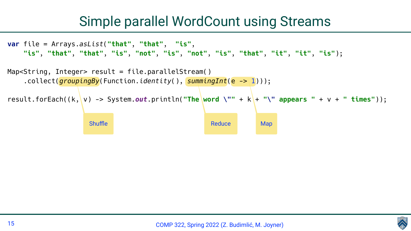

# Simple parallel WordCount using Streams

**var** file = Arrays.*asList*(**"that"**, **"that"**, **"is"**, **"is"**, **"that"**, **"that"**, **"is"**, **"not"**, **"is"**, **"not"**, **"is"**, **"that"**, **"it"**, **"it"**, **"is"**);

```
Shuffle Map
result.forEach((k, v) -> System.out.println("The word \"" + k + "\" appears " + v + " times"));
```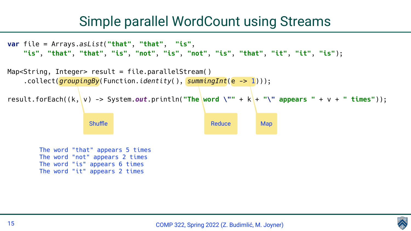

# Simple parallel WordCount using Streams

The word "that" appears 5 times The word "not" appears 2 times The word "is" appears 6 times The word "it" appears 2 times

```
Shuffle Map
result.forEach((k, v) -> System.out.println("The word \"" + k + "\" appears " + v + " times"));
```
**var** file = Arrays.*asList*(**"that"**, **"that"**, **"is"**, **"is"**, **"that"**, **"that"**, **"is"**, **"not"**, **"is"**, **"not"**, **"is"**, **"that"**, **"it"**, **"it"**, **"is"**);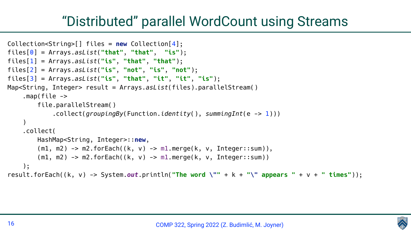```
Collection<String>[] files = new Collection[4];
files[0] = Arrays.asList("that", "that", "is");
files[1] = Arrays.asList("is", "that", "that");
files[2] = Arrays.asList("is", "not", "is", "not");
files[3] = Arrays.asList("is", "that", "it", "it", "is");
Map<String, Integer> result = Arrays.asList(files).parallelStream()
     .map(file -> 
         file.parallelStream()
             .collect(groupingBy(Function.identity(), summingInt(e -> 1)))
 )
     .collect(
         HashMap<String, Integer>::new,
         (m1, m2) -> m2.forEach((k, v) -> m1.merge(k, v, Integer::sum)),
         (m1, m2) -> m2.forEach((k, v) -> m1.merge(k, v, Integer::sum))
     );
result.forEach((k, v) -> System.out.println("The word \"" + k + "\" appears " + v + " times"));
```
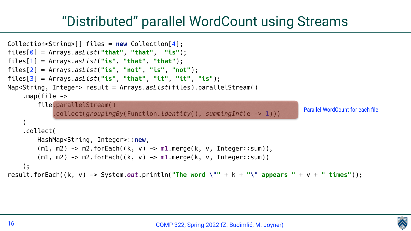```
Collection<String>[] files = new Collection[4];
files[0] = Arrays.asList("that", "that", "is");
files[1] = Arrays.asList("is", "that", "that");
files[2] = Arrays.asList("is", "not", "is", "not");
files[3] = Arrays.asList("is", "that", "it", "it", "is");
Map<String, Integer> result = Arrays.asList(files).parallelStream()
     .map(file -> 
         file.parallelStream()
              .collect(groupingBy(Function.identity(), summingInt(e -> 1)))
 )
     .collect(
         HashMap<String, Integer>::new,
         (m1, m2) -> m2.forEach((k, v) -> m1.merge(k, v, Integer::sum)),
         (m1, m2) -> m2.forEach((k, v) -> m1.merge(k, v, Integer::sum))
     );
result.forEach((k, v) -> System.out.println("The word \"" + k + "\" appears " + v + " times"));
                                                                                  Parallel WordCount for each file
```
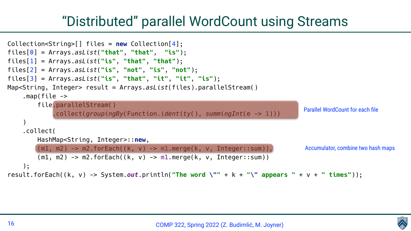Collection<String>[] files = **new** Collection[4]; files[0] = Arrays.*asList*(**"that"**, **"that"**, **"is"**); files[1] = Arrays.*asList*(**"is"**, **"that"**, **"that"**); files[2] = Arrays.*asList*(**"is"**, **"not"**, **"is"**, **"not"**); files[3] = Arrays.*asList*(**"is"**, **"that"**, **"it"**, **"it"**, **"is"**); Map<String, Integer> result = Arrays.*asList*(files).parallelStream() .map(file -> file.parallelStream() .collect(*groupingBy*(Function.*identity*(), *summingInt*(e -> 1))) ) .collect( HashMap<String, Integer>::**new**, (m1, m2) -> m2.forEach((k, v) -> m1.merge(k, v, Integer::sum)), (m1, m2) -> m2.forEach((k, v) -> m1.merge(k, v, Integer::sum)) ); result.forEach((k, v) -> System.*out*.println(**"The word \""** + k + **"\" appears "** + v + **" times"**));

COMP 322, Spring 2022 (Z. Budimlić, M. Joyner)



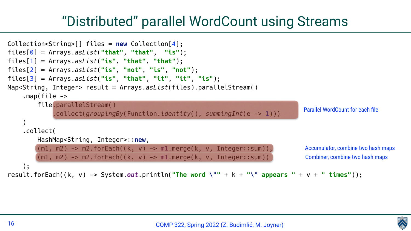Collection<String>[] files = **new** Collection[4]; files[0] = Arrays.*asList*(**"that"**, **"that"**, **"is"**); files[1] = Arrays.*asList*(**"is"**, **"that"**, **"that"**); files[2] = Arrays.*asList*(**"is"**, **"not"**, **"is"**, **"not"**); files[3] = Arrays.*asList*(**"is"**, **"that"**, **"it"**, **"it"**, **"is"**); Map<String, Integer> result = Arrays.*asList*(files).parallelStream() .map(file -> file.parallelStream() .collect(*groupingBy*(Function.*identity*(), *summingInt*(e -> 1))) ) .collect( HashMap<String, Integer>::**new**, (m1, m2) -> m2.forEach((k, v) -> m1.merge(k, v, Integer::sum)), (m1, m2) -> m2.forEach((k, v) -> m1.merge(k, v, Integer::sum)) ); result.forEach((k, v) -> System.*out*.println(**"The word \""** + k + **"\" appears "** + v + **" times"**));

COMP 322, Spring 2022 (Z. Budimlić, M. Joyner)



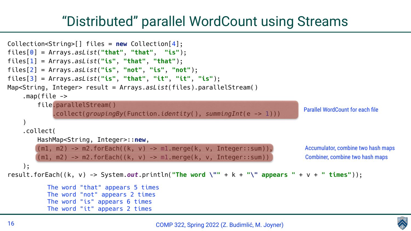```
Collection<String>[] files = new Collection[4];
files[0] = Arrays.asList("that", "that", "is");
files[1] = Arrays.asList("is", "that", "that");
files[2] = Arrays.asList("is", "not", "is", "not");
files[3] = Arrays.asList("is", "that", "it", "it", "is");
Map<String, Integer> result = Arrays.asList(files).parallelStream()
     .map(file -> 
         file.parallelStream()
              .collect(groupingBy(Function.identity(), summingInt(e -> 1)))
 )
     .collect(
         HashMap<String, Integer>::new,
         (m1, m2) -> m2.forEach((k, v) -> m1.merge(k, v, Integer::sum)),
         (m1, m2) -> m2.forEach((k, v) -> m1.merge(k, v, Integer::sum))
     );
result.forEach((k, v) -> System.out.println("The word \"" + k + "\" appears " + v + " times"));
          The word "that" appears 5 times
           The word "not" appears 2 times
          The word "is" appears 6 times
           The word "it" appears 2 times
```


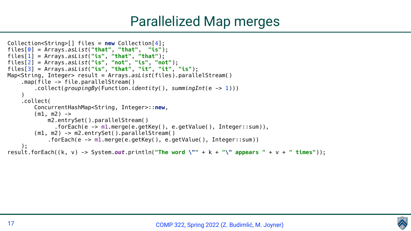

```
Collection<String>[] files = new Collection[4];
files[0] = Arrays.asList("that", "that", "is");
files[1] = Arrays.asList("is", "that", "that");
files[2] = Arrays.asList("is", "not", "is", "not");
files[3] = Arrays.asList("is", "that", "it", "it", "is");
Map<String, Integer> result = Arrays.asList(files).parallelStream()
     .map(file -> file.parallelStream()
         .collect(groupingBy(Function.identity(), summingInt(e -> 1)))
 )
     .collect(
         ConcurrentHashMap<String, Integer>::new,
        (m1, m2) \rightarrow m2.entrySet().parallelStream()
               .forEach(e -> m1.merge(e.getKey(), e.getValue(), Integer::sum)),
         (m1, m2) -> m2.entrySet().parallelStream()
             .forEach(e -> m1.merge(e.getKey(), e.getValue(), Integer::sum))
     );
result.forEach((k, v) -> System.out.println("The word \"" + k + "\" appears " + v + " times"));
```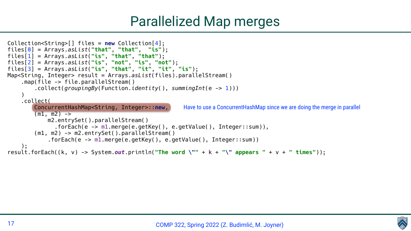Have to use a ConcurrentHashMap since we are doing the merge in parallel

COMP 322, Spring 2022 (Z. Budimlić, M. Joyner)



```
Collection<String>[] files = new Collection[4];
files[0] = Arrays.asList("that", "that", "is");
files[1] = Arrays.asList("is", "that", "that");
files[2] = Arrays.asList("is", "not", "is", "not");
files[3] = Arrays.asList("is", "that", "it", "it", "is");
Map<String, Integer> result = Arrays.asList(files).parallelStream()
     .map(file -> file.parallelStream()
         .collect(groupingBy(Function.identity(), summingInt(e -> 1)))
 )
     .collect(
         ConcurrentHashMap<String, Integer>::new,
        (m1, m2) \rightarrow m2.entrySet().parallelStream()
               .forEach(e -> m1.merge(e.getKey(), e.getValue(), Integer::sum)),
         (m1, m2) -> m2.entrySet().parallelStream()
             .forEach(e -> m1.merge(e.getKey(), e.getValue(), Integer::sum))
     );
result.forEach((k, v) -> System.out.println("The word \"" + k + "\" appears " + v + " times"));
```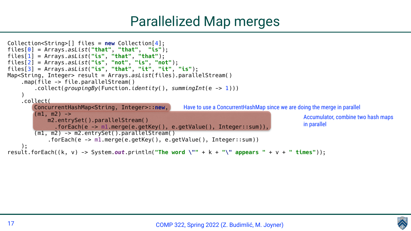Have to use a ConcurrentHashMap since we are doing the merge in parallel

COMP 322, Spring 2022 (Z. Budimlić, M. Joyner)





Accumulator, combine two hash maps in parallel

```
Collection<String>[] files = new Collection[4];
files[0] = Arrays.asList("that", "that", "is");
files[1] = Arrays.asList("is", "that", "that");
files[2] = Arrays.asList("is", "not", "is", "not");
files[3] = Arrays.asList("is", "that", "it", "it", "is");
Map<String, Integer> result = Arrays.asList(files).parallelStream()
     .map(file -> file.parallelStream()
         .collect(groupingBy(Function.identity(), summingInt(e -> 1)))
 )
     .collect(
         ConcurrentHashMap<String, Integer>::new,
        (m1, m2) \rightarrow m2.entrySet().parallelStream()
               .forEach(e -> m1.merge(e.getKey(), e.getValue(), Integer::sum)),
         (m1, m2) -> m2.entrySet().parallelStream()
             .forEach(e -> m1.merge(e.getKey(), e.getValue(), Integer::sum))
     );
result.forEach((k, v) -> System.out.println("The word \"" + k + "\" appears " + v + " times"));
```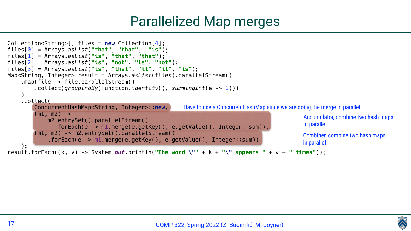Have to use a ConcurrentHashMap since we are doing the merge in parallel

COMP 322, Spring 2022 (Z. Budimlić, M. Joyner)





```
Accumulator, combine two hash maps
in parallel
Combiner, combine two hash maps
in parallel
```
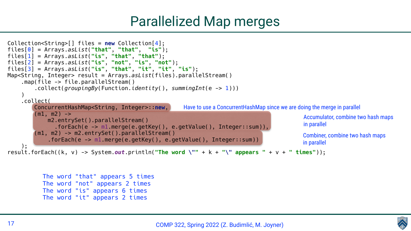



```
Have to use a ConcurrentHashMap since we are doing the merge in parallel
                                                                                             Accumulator, combine two hash maps
                                                                                             in parallel
                                                                                             Combiner, combine two hash maps
                                                                                             in parallel
           The word "that" appears 5 times
           The word "not" appears 2 times
           The word "is" appears 6 times
           The word "it" appears 2 times
Collection<String>[] files = new Collection[4];
files[0] = Arrays.asList("that", "that", "is");
files[1] = Arrays.asList("is", "that", "that");
files[2] = Arrays.asList("is", "not", "is", "not");
files[3] = Arrays.asList("is", "that", "it", "it", "is");
Map<String, Integer> result = Arrays.asList(files).parallelStream()
     .map(file -> file.parallelStream()
         .collect(groupingBy(Function.identity(), summingInt(e -> 1)))
 )
     .collect(
         ConcurrentHashMap<String, Integer>::new,
        (m1, m2) \rightarrow m2.entrySet().parallelStream()
                .forEach(e -> m1.merge(e.getKey(), e.getValue(), Integer::sum)),
         (m1, m2) -> m2.entrySet().parallelStream()
              .forEach(e -> m1.merge(e.getKey(), e.getValue(), Integer::sum))
     );
result.forEach((k, v) -> System.out.println("The word \"" + k + "\" appears " + v + " times"));
```